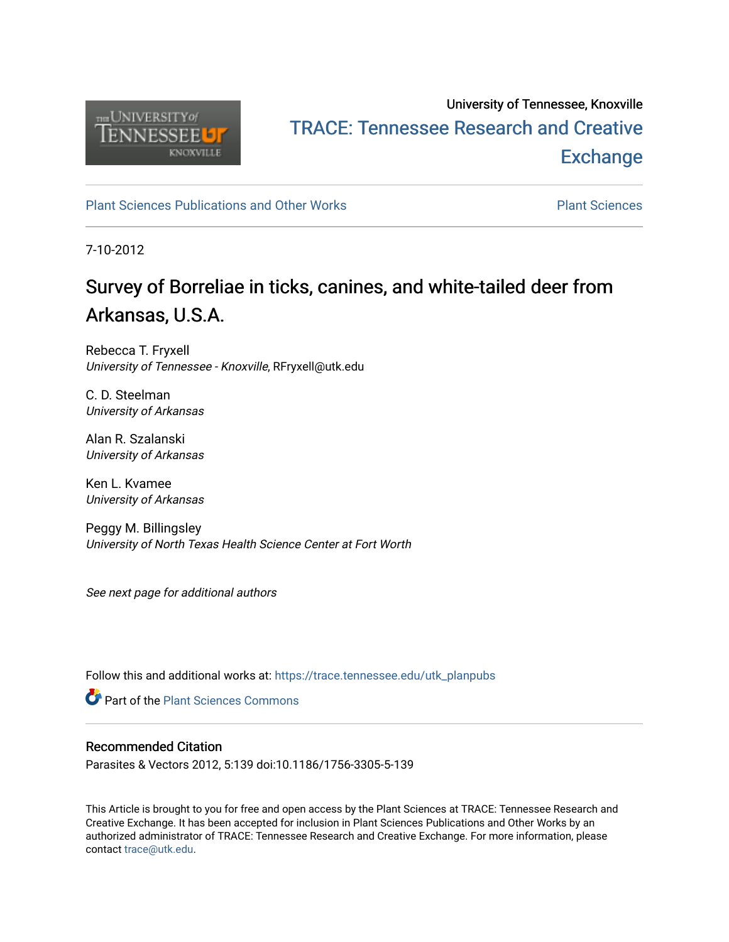

# University of Tennessee, Knoxville TRACE: T[ennessee Research and Cr](https://trace.tennessee.edu/)eative **Exchange**

[Plant Sciences Publications and Other Works](https://trace.tennessee.edu/utk_planpubs) [Plant Sciences](https://trace.tennessee.edu/utk-plan) 

7-10-2012

# Survey of Borreliae in ticks, canines, and white-tailed deer from Arkansas, U.S.A.

Rebecca T. Fryxell University of Tennessee - Knoxville, RFryxell@utk.edu

C. D. Steelman University of Arkansas

Alan R. Szalanski University of Arkansas

Ken L. Kvamee University of Arkansas

Peggy M. Billingsley University of North Texas Health Science Center at Fort Worth

See next page for additional authors

Follow this and additional works at: [https://trace.tennessee.edu/utk\\_planpubs](https://trace.tennessee.edu/utk_planpubs?utm_source=trace.tennessee.edu%2Futk_planpubs%2F59&utm_medium=PDF&utm_campaign=PDFCoverPages) 

**C** Part of the [Plant Sciences Commons](https://network.bepress.com/hgg/discipline/102?utm_source=trace.tennessee.edu%2Futk_planpubs%2F59&utm_medium=PDF&utm_campaign=PDFCoverPages)

#### Recommended Citation

Parasites & Vectors 2012, 5:139 doi:10.1186/1756-3305-5-139

This Article is brought to you for free and open access by the Plant Sciences at TRACE: Tennessee Research and Creative Exchange. It has been accepted for inclusion in Plant Sciences Publications and Other Works by an authorized administrator of TRACE: Tennessee Research and Creative Exchange. For more information, please contact [trace@utk.edu](mailto:trace@utk.edu).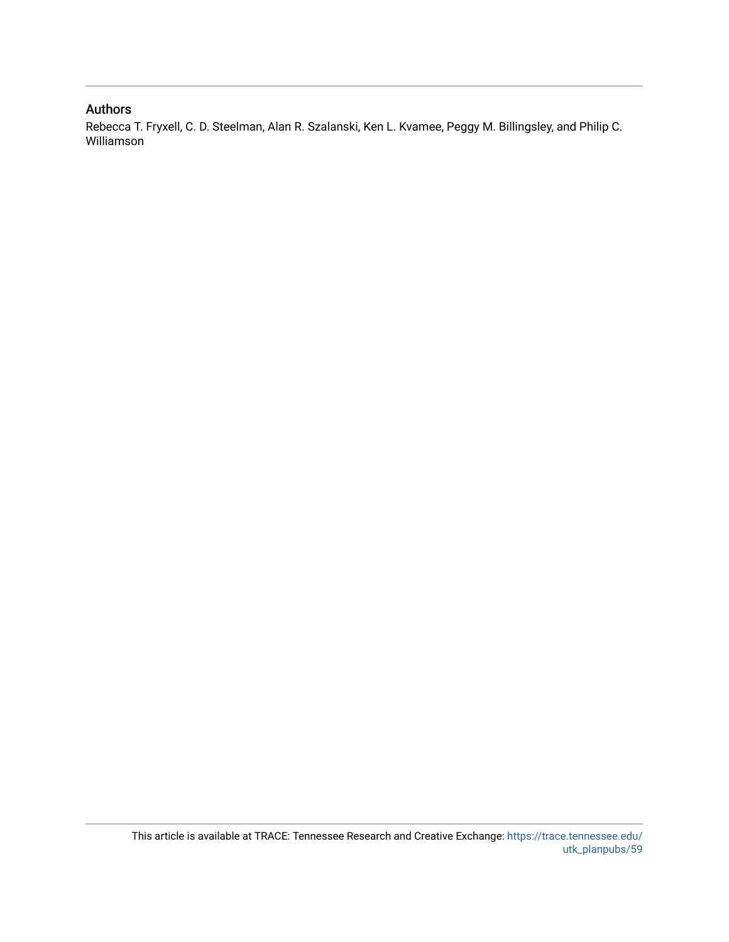### Authors

Rebecca T. Fryxell, C. D. Steelman, Alan R. Szalanski, Ken L. Kvamee, Peggy M. Billingsley, and Philip C. Williamson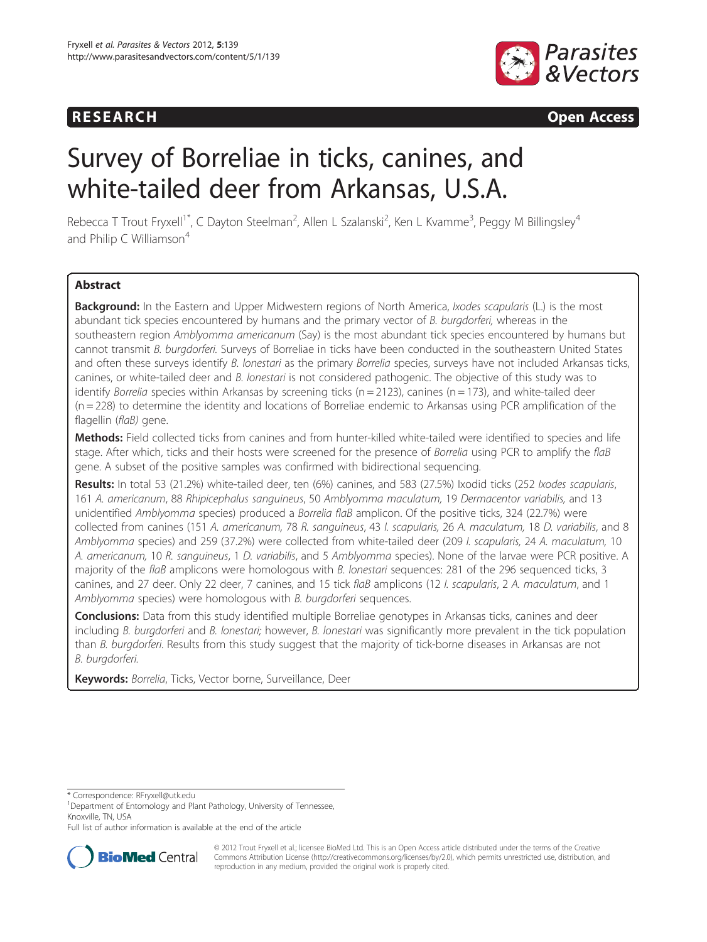## **RESEARCH RESEARCH CONSUMING ACCESS**



# Survey of Borreliae in ticks, canines, and white-tailed deer from Arkansas, U.S.A.

Rebecca T Trout Fryxell<sup>1\*</sup>, C Dayton Steelman<sup>2</sup>, Allen L Szalanski<sup>2</sup>, Ken L Kvamme<sup>3</sup>, Peggy M Billingsley<sup>4</sup> and Philip C Williamson $4$ 

#### **Abstract**

Background: In the Eastern and Upper Midwestern regions of North America, Ixodes scapularis (L.) is the most abundant tick species encountered by humans and the primary vector of B. burgdorferi, whereas in the southeastern region Amblyomma americanum (Say) is the most abundant tick species encountered by humans but cannot transmit B. burgdorferi. Surveys of Borreliae in ticks have been conducted in the southeastern United States and often these surveys identify B. lonestari as the primary Borrelia species, surveys have not included Arkansas ticks, canines, or white-tailed deer and B. lonestari is not considered pathogenic. The objective of this study was to identify Borrelia species within Arkansas by screening ticks ( $n = 2123$ ), canines ( $n = 173$ ), and white-tailed deer  $(n = 228)$  to determine the identity and locations of Borreliae endemic to Arkansas using PCR amplification of the flagellin (flaB) gene.

Methods: Field collected ticks from canines and from hunter-killed white-tailed were identified to species and life stage. After which, ticks and their hosts were screened for the presence of Borrelia using PCR to amplify the flaB gene. A subset of the positive samples was confirmed with bidirectional sequencing.

Results: In total 53 (21.2%) white-tailed deer, ten (6%) canines, and 583 (27.5%) Ixodid ticks (252 Ixodes scapularis, 161 A. americanum, 88 Rhipicephalus sanguineus, 50 Amblyomma maculatum, 19 Dermacentor variabilis, and 13 unidentified Amblyomma species) produced a Borrelia flaB amplicon. Of the positive ticks, 324 (22.7%) were collected from canines (151 A. americanum, 78 R. sanguineus, 43 I. scapularis, 26 A. maculatum, 18 D. variabilis, and 8 Amblyomma species) and 259 (37.2%) were collected from white-tailed deer (209 I. scapularis, 24 A. maculatum, 10 A. americanum, 10 R. sanguineus, 1 D. variabilis, and 5 Amblyomma species). None of the larvae were PCR positive. A majority of the flaB amplicons were homologous with B. lonestari sequences: 281 of the 296 sequenced ticks, 3 canines, and 27 deer. Only 22 deer, 7 canines, and 15 tick flaB amplicons (12 I. scapularis, 2 A. maculatum, and 1 Amblyomma species) were homologous with B. burgdorferi sequences.

**Conclusions:** Data from this study identified multiple Borreliae genotypes in Arkansas ticks, canines and deer including B. burgdorferi and B. lonestari; however, B. lonestari was significantly more prevalent in the tick population than B. burgdorferi. Results from this study suggest that the majority of tick-borne diseases in Arkansas are not B. burgdorferi.

Keywords: Borrelia, Ticks, Vector borne, Surveillance, Deer

Full list of author information is available at the end of the article



© 2012 Trout Fryxell et al.; licensee BioMed Ltd. This is an Open Access article distributed under the terms of the Creative Commons Attribution License [\(http://creativecommons.org/licenses/by/2.0\)](http://creativecommons.org/licenses/by/2.0), which permits unrestricted use, distribution, and reproduction in any medium, provided the original work is properly cited.

<sup>\*</sup> Correspondence: [RFryxell@utk.edu](mailto:RFryxell@utk.edu) <sup>1</sup>

<sup>&</sup>lt;sup>1</sup>Department of Entomology and Plant Pathology, University of Tennessee, Knoxville, TN, USA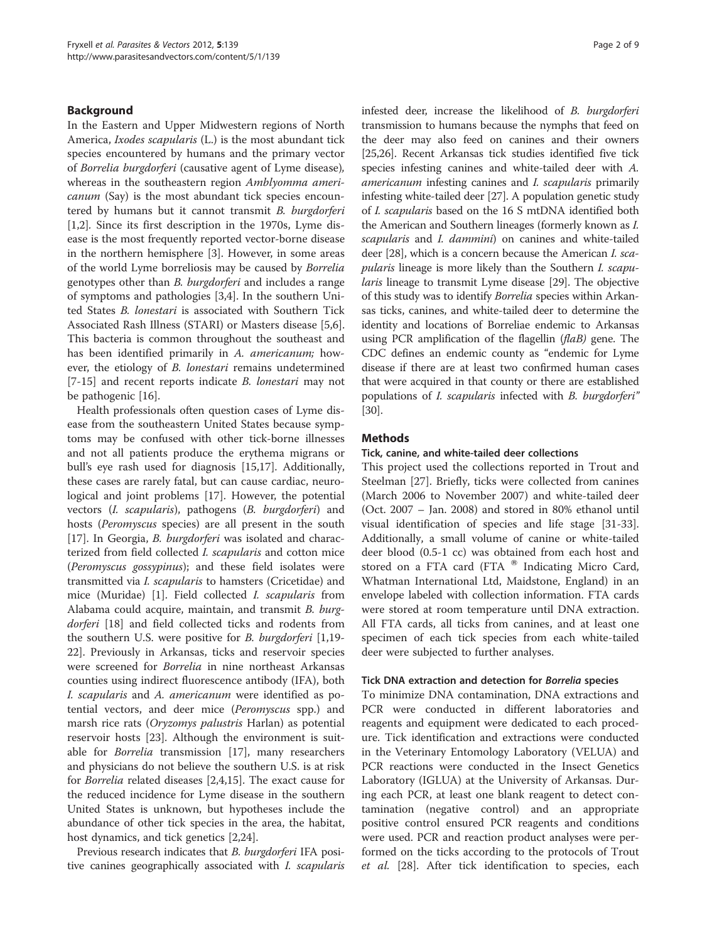#### Background

In the Eastern and Upper Midwestern regions of North America, Ixodes scapularis (L.) is the most abundant tick species encountered by humans and the primary vector of Borrelia burgdorferi (causative agent of Lyme disease), whereas in the southeastern region Amblyomma americanum (Say) is the most abundant tick species encountered by humans but it cannot transmit B. burgdorferi [[1,2\]](#page-9-0). Since its first description in the 1970s, Lyme disease is the most frequently reported vector-borne disease in the northern hemisphere [\[3](#page-9-0)]. However, in some areas of the world Lyme borreliosis may be caused by Borrelia genotypes other than B. burgdorferi and includes a range of symptoms and pathologies [[3,4\]](#page-9-0). In the southern United States B. lonestari is associated with Southern Tick Associated Rash Illness (STARI) or Masters disease [\[5,6](#page-9-0)]. This bacteria is common throughout the southeast and has been identified primarily in A. americanum; however, the etiology of B. lonestari remains undetermined [[7](#page-9-0)[-15](#page-10-0)] and recent reports indicate *B. lonestari* may not be pathogenic [[16\]](#page-10-0).

Health professionals often question cases of Lyme disease from the southeastern United States because symptoms may be confused with other tick-borne illnesses and not all patients produce the erythema migrans or bull's eye rash used for diagnosis [[15](#page-10-0),[17](#page-10-0)]. Additionally, these cases are rarely fatal, but can cause cardiac, neurological and joint problems [\[17](#page-10-0)]. However, the potential vectors (I. scapularis), pathogens (B. burgdorferi) and hosts (Peromyscus species) are all present in the south [[17\]](#page-10-0). In Georgia, *B. burgdorferi* was isolated and characterized from field collected I. scapularis and cotton mice (Peromyscus gossypinus); and these field isolates were transmitted via I. scapularis to hamsters (Cricetidae) and mice (Muridae) [\[1\]](#page-9-0). Field collected I. scapularis from Alabama could acquire, maintain, and transmit B. burg-dorferi [\[18](#page-10-0)] and field collected ticks and rodents from the southern U.S. were positive for B. burgdorferi [\[1](#page-9-0)[,19-](#page-10-0) [22\]](#page-10-0). Previously in Arkansas, ticks and reservoir species were screened for Borrelia in nine northeast Arkansas counties using indirect fluorescence antibody (IFA), both I. scapularis and A. americanum were identified as potential vectors, and deer mice (Peromyscus spp.) and marsh rice rats (*Oryzomys palustris* Harlan) as potential reservoir hosts [[23\]](#page-10-0). Although the environment is suitable for Borrelia transmission [[17](#page-10-0)], many researchers and physicians do not believe the southern U.S. is at risk for Borrelia related diseases [\[2,4](#page-9-0)[,15](#page-10-0)]. The exact cause for the reduced incidence for Lyme disease in the southern United States is unknown, but hypotheses include the abundance of other tick species in the area, the habitat, host dynamics, and tick genetics  $|2,24|$  $|2,24|$  $|2,24|$  $|2,24|$  $|2,24|$ .

Previous research indicates that *B. burgdorferi* IFA positive canines geographically associated with I. scapularis infested deer, increase the likelihood of B. burgdorferi transmission to humans because the nymphs that feed on the deer may also feed on canines and their owners [[25,26](#page-10-0)]. Recent Arkansas tick studies identified five tick species infesting canines and white-tailed deer with A. americanum infesting canines and I. scapularis primarily infesting white-tailed deer [[27](#page-10-0)]. A population genetic study of I. scapularis based on the 16 S mtDNA identified both the American and Southern lineages (formerly known as I. scapularis and I. dammini) on canines and white-tailed deer [\[28\]](#page-10-0), which is a concern because the American I. scapularis lineage is more likely than the Southern I. scapularis lineage to transmit Lyme disease [[29](#page-10-0)]. The objective of this study was to identify Borrelia species within Arkansas ticks, canines, and white-tailed deer to determine the identity and locations of Borreliae endemic to Arkansas using PCR amplification of the flagellin (flaB) gene. The CDC defines an endemic county as "endemic for Lyme disease if there are at least two confirmed human cases that were acquired in that county or there are established populations of *I. scapularis* infected with *B. burgdorferi*" [[30](#page-10-0)].

#### Methods

#### Tick, canine, and white-tailed deer collections

This project used the collections reported in Trout and Steelman [[27\]](#page-10-0). Briefly, ticks were collected from canines (March 2006 to November 2007) and white-tailed deer (Oct. 2007 – Jan. 2008) and stored in 80% ethanol until visual identification of species and life stage [\[31-33](#page-10-0)]. Additionally, a small volume of canine or white-tailed deer blood (0.5-1 cc) was obtained from each host and stored on a FTA card (FTA  $^{\circledR}$  Indicating Micro Card, Whatman International Ltd, Maidstone, England) in an envelope labeled with collection information. FTA cards were stored at room temperature until DNA extraction. All FTA cards, all ticks from canines, and at least one specimen of each tick species from each white-tailed deer were subjected to further analyses.

#### Tick DNA extraction and detection for Borrelia species

To minimize DNA contamination, DNA extractions and PCR were conducted in different laboratories and reagents and equipment were dedicated to each procedure. Tick identification and extractions were conducted in the Veterinary Entomology Laboratory (VELUA) and PCR reactions were conducted in the Insect Genetics Laboratory (IGLUA) at the University of Arkansas. During each PCR, at least one blank reagent to detect contamination (negative control) and an appropriate positive control ensured PCR reagents and conditions were used. PCR and reaction product analyses were performed on the ticks according to the protocols of Trout et al. [[28\]](#page-10-0). After tick identification to species, each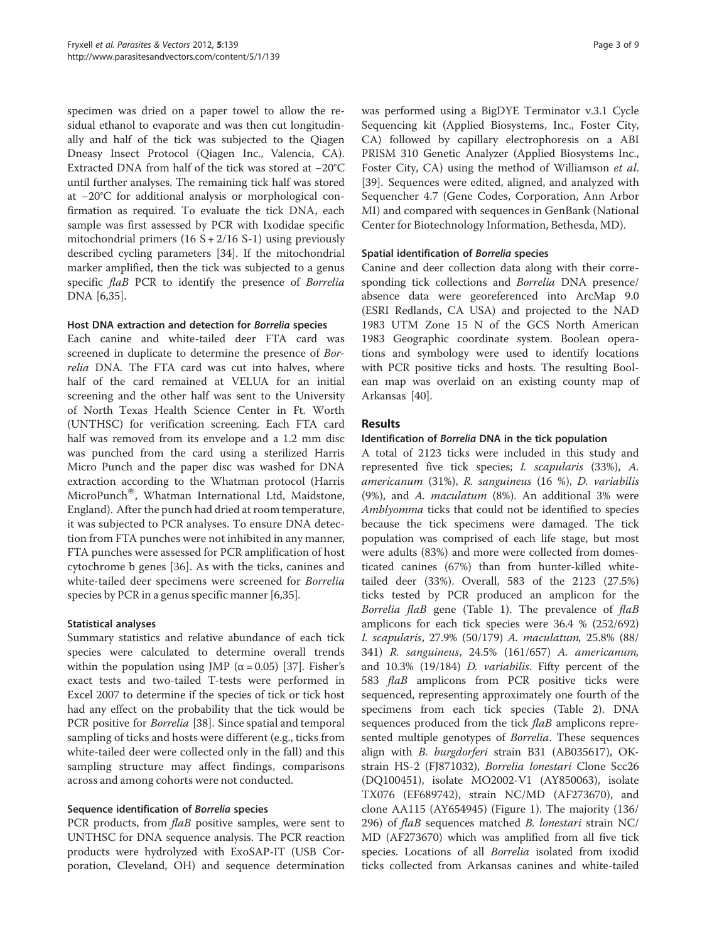specimen was dried on a paper towel to allow the residual ethanol to evaporate and was then cut longitudinally and half of the tick was subjected to the Qiagen Dneasy Insect Protocol (Qiagen Inc., Valencia, CA). Extracted DNA from half of the tick was stored at −20°C until further analyses. The remaining tick half was stored at −20°C for additional analysis or morphological confirmation as required. To evaluate the tick DNA, each sample was first assessed by PCR with Ixodidae specific mitochondrial primers  $(16 S + 2/16 S - 1)$  using previously described cycling parameters [[34](#page-10-0)]. If the mitochondrial marker amplified, then the tick was subjected to a genus specific flaB PCR to identify the presence of Borrelia DNA [\[6](#page-9-0)[,35](#page-10-0)].

#### Host DNA extraction and detection for Borrelia species

Each canine and white-tailed deer FTA card was screened in duplicate to determine the presence of Borrelia DNA. The FTA card was cut into halves, where half of the card remained at VELUA for an initial screening and the other half was sent to the University of North Texas Health Science Center in Ft. Worth (UNTHSC) for verification screening. Each FTA card half was removed from its envelope and a 1.2 mm disc was punched from the card using a sterilized Harris Micro Punch and the paper disc was washed for DNA extraction according to the Whatman protocol (Harris MicroPunch®, Whatman International Ltd, Maidstone, England). After the punch had dried at room temperature, it was subjected to PCR analyses. To ensure DNA detection from FTA punches were not inhibited in any manner, FTA punches were assessed for PCR amplification of host cytochrome b genes [\[36](#page-10-0)]. As with the ticks, canines and white-tailed deer specimens were screened for Borrelia species by PCR in a genus specific manner [[6,](#page-9-0)[35](#page-10-0)].

#### Statistical analyses

Summary statistics and relative abundance of each tick species were calculated to determine overall trends within the population using JMP ( $\alpha$  = 0.05) [[37](#page-10-0)]. Fisher's exact tests and two-tailed T-tests were performed in Excel 2007 to determine if the species of tick or tick host had any effect on the probability that the tick would be PCR positive for *Borrelia* [[38](#page-10-0)]. Since spatial and temporal sampling of ticks and hosts were different (e.g., ticks from white-tailed deer were collected only in the fall) and this sampling structure may affect findings, comparisons across and among cohorts were not conducted.

#### Sequence identification of Borrelia species

PCR products, from *flaB* positive samples, were sent to UNTHSC for DNA sequence analysis. The PCR reaction products were hydrolyzed with ExoSAP-IT (USB Corporation, Cleveland, OH) and sequence determination was performed using a BigDYE Terminator v.3.1 Cycle Sequencing kit (Applied Biosystems, Inc., Foster City, CA) followed by capillary electrophoresis on a ABI PRISM 310 Genetic Analyzer (Applied Biosystems Inc., Foster City, CA) using the method of Williamson et al. [[39\]](#page-10-0). Sequences were edited, aligned, and analyzed with Sequencher 4.7 (Gene Codes, Corporation, Ann Arbor MI) and compared with sequences in GenBank (National Center for Biotechnology Information, Bethesda, MD).

#### Spatial identification of Borrelia species

Canine and deer collection data along with their corresponding tick collections and Borrelia DNA presence/ absence data were georeferenced into ArcMap 9.0 (ESRI Redlands, CA USA) and projected to the NAD 1983 UTM Zone 15 N of the GCS North American 1983 Geographic coordinate system. Boolean operations and symbology were used to identify locations with PCR positive ticks and hosts. The resulting Boolean map was overlaid on an existing county map of Arkansas [\[40](#page-10-0)].

#### Results

#### Identification of Borrelia DNA in the tick population

A total of 2123 ticks were included in this study and represented five tick species; I. scapularis (33%), A. americanum (31%), R. sanguineus (16 %), D. variabilis (9%), and A. maculatum (8%). An additional 3% were Amblyomma ticks that could not be identified to species because the tick specimens were damaged. The tick population was comprised of each life stage, but most were adults (83%) and more were collected from domesticated canines (67%) than from hunter-killed whitetailed deer (33%). Overall, 583 of the 2123 (27.5%) ticks tested by PCR produced an amplicon for the Borrelia flaB gene (Table [1](#page-5-0)). The prevalence of flaB amplicons for each tick species were 36.4 % (252/692) I. scapularis, 27.9% (50/179) A. maculatum, 25.8% (88/ 341) R. sanguineus, 24.5% (161/657) A. americanum, and 10.3% (19/184) D. variabilis. Fifty percent of the 583 flaB amplicons from PCR positive ticks were sequenced, representing approximately one fourth of the specimens from each tick species (Table [2](#page-6-0)). DNA sequences produced from the tick *flaB* amplicons represented multiple genotypes of *Borrelia*. These sequences align with *B. burgdorferi* strain B31 (AB035617), OKstrain HS-2 (FJ871032), Borrelia lonestari Clone Scc26 (DQ100451), isolate MO2002-V1 (AY850063), isolate TX076 (EF689742), strain NC/MD (AF273670), and clone AA115 (AY654945) (Figure [1](#page-7-0)). The majority (136/ 296) of flaB sequences matched B. lonestari strain NC/ MD (AF273670) which was amplified from all five tick species. Locations of all *Borrelia* isolated from ixodid ticks collected from Arkansas canines and white-tailed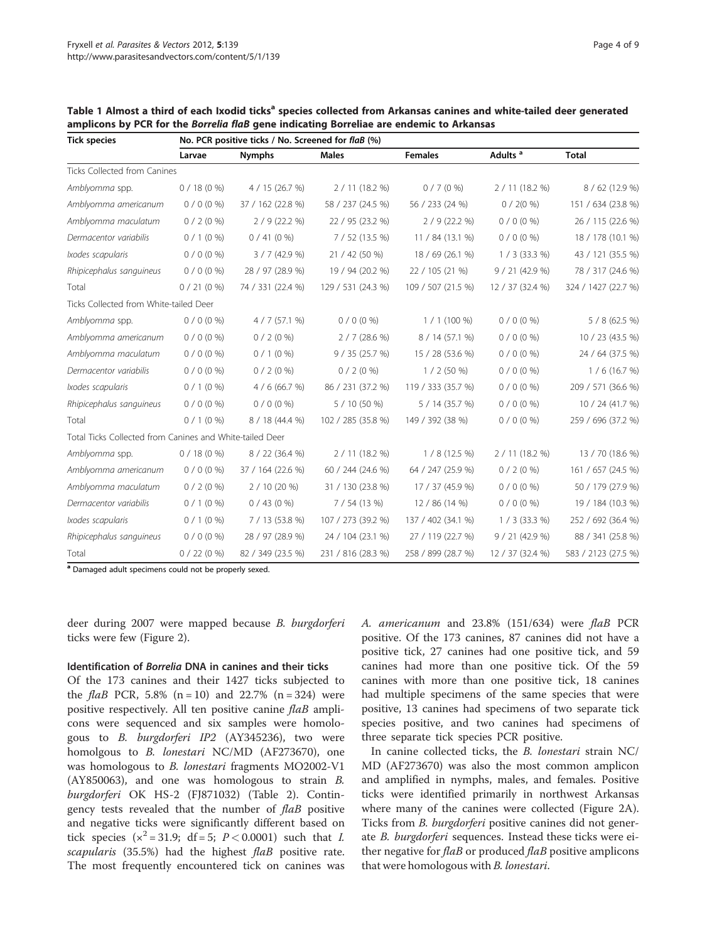| <b>Tick species</b>                                      | No. PCR positive ticks / No. Screened for flaB (%) |                   |                    |                                   |                     |                     |  |  |  |  |
|----------------------------------------------------------|----------------------------------------------------|-------------------|--------------------|-----------------------------------|---------------------|---------------------|--|--|--|--|
|                                                          | Larvae                                             | <b>Nymphs</b>     | <b>Males</b>       |                                   | Adults <sup>a</sup> | <b>Total</b>        |  |  |  |  |
| Ticks Collected from Canines                             |                                                    |                   |                    |                                   |                     |                     |  |  |  |  |
| Amblyomma spp.                                           | $0/18(0\%)$                                        | 4 / 15 (26.7 %)   | 2/11(18.2%)        | $0/7(0\%)$                        | 2 / 11 (18.2 %)     | 8 / 62 (12.9 %)     |  |  |  |  |
| Amblyomma americanum                                     | $0/0(0\%)$                                         | 37 / 162 (22.8 %) | 58 / 237 (24.5 %)  | 56 / 233 (24 %)                   | $0/2(0\%)$          | 151 / 634 (23.8 %)  |  |  |  |  |
| Amblyomma maculatum                                      | $0/2(0\%)$                                         | $2/9(22.2\%)$     | 22 / 95 (23.2 %)   | $2/9(22.2\%)$                     | $0/0(0\%)$          | 26 / 115 (22.6 %)   |  |  |  |  |
| Dermacentor variabilis                                   | $0/1(0\%)$                                         | 0/41(0%           | 7/52(13.5%)        | 11 / 84 (13.1 %)                  | $0/0$ (0 %)         | 18 / 178 (10.1 %)   |  |  |  |  |
| Ixodes scapularis                                        | $0/0(0\%)$                                         | 3 / 7 (42.9 %)    | 21 / 42 (50 %)     | 18 / 69 (26.1 %)                  | $1 / 3$ (33.3 %)    | 43 / 121 (35.5 %)   |  |  |  |  |
| Rhipicephalus sanguineus                                 | $0/0(0\%)$                                         | 28 / 97 (28.9 %)  | 19 / 94 (20.2 %)   | 22 / 105 (21 %)                   | 9/21(42.9%)         | 78 / 317 (24.6 %)   |  |  |  |  |
| Total                                                    | $0/21(0\%)$                                        | 74 / 331 (22.4 %) | 129 / 531 (24.3 %) | 109 / 507 (21.5 %)                | 12 / 37 (32.4 %)    | 324 / 1427 (22.7 %) |  |  |  |  |
| Ticks Collected from White-tailed Deer                   |                                                    |                   |                    |                                   |                     |                     |  |  |  |  |
| Amblyomma spp.                                           | $0/0(0\%)$                                         | 4/7(57.1%)        | $0/0(0\%)$         | $1/1(100\%)$                      | $0/0(0\%)$          | $5/8(62.5\%)$       |  |  |  |  |
| Amblyomma americanum                                     | $0/0(0\%)$                                         | $0/2(0\%)$        | 2/7(28.6%)         | 8 / 14 (57.1 %)                   | $0/0(0\%)$          | 10 / 23 (43.5 %)    |  |  |  |  |
| Amblyomma maculatum                                      | $0/0(0\%)$                                         | $0/1$ (0 %)       | 9 / 35 (25.7 %)    | 15 / 28 (53.6 %)                  | $0/0(0\%)$          | 24 / 64 (37.5 %)    |  |  |  |  |
| Dermacentor variabilis                                   | $0/0(0\%)$                                         | $0/2(0\%)$        | $0/2(0\%)$         | $1/2(50\%)$                       | $0/0(0\%)$          |                     |  |  |  |  |
| Ixodes scapularis                                        | $0/1$ (0 %)                                        | 4/6(66.7%)        | 86 / 231 (37.2 %)  | 119 / 333 (35.7 %)<br>$0/0$ (0 %) |                     | 209 / 571 (36.6 %)  |  |  |  |  |
| Rhipicephalus sanguineus                                 | $0/0(0\%)$                                         | $0/0(0\%)$        | 5 / 10 (50 %)      | 5 / 14 (35.7 %)                   | $0/0$ (0 %)         | 10 / 24 (41.7 %)    |  |  |  |  |
| Total                                                    | $0/1$ (0 %)                                        | 8 / 18 (44.4 %)   | 102 / 285 (35.8 %) | 149 / 392 (38 %)                  | $0/0$ (0 %)         | 259 / 696 (37.2 %)  |  |  |  |  |
| Total Ticks Collected from Canines and White-tailed Deer |                                                    |                   |                    |                                   |                     |                     |  |  |  |  |
| Amblyomma spp.                                           | $0/18(0\%)$                                        | 8 / 22 (36.4 %)   | 2/11(18.2%)        | $1/8(12.5\%)$                     | 2 / 11 (18.2 %)     | 13 / 70 (18.6 %)    |  |  |  |  |
| Amblyomma americanum                                     | $0/0(0\%)$                                         | 37 / 164 (22.6 %) | 60 / 244 (24.6 %)  | 64 / 247 (25.9 %)                 | $0/2$ (0 %)         | 161 / 657 (24.5 %)  |  |  |  |  |
| Amblyomma maculatum                                      | $0/2$ (0 %)                                        | $2/10(20\%)$      | 31 / 130 (23.8 %)  | 17 / 37 (45.9 %)                  | $0/0(0\%)$          | 50 / 179 (27.9 %)   |  |  |  |  |
| Dermacentor variabilis                                   | $0/1$ (0 %)                                        | $0/43(0\%)$       | 7/54(13%)          | 12 / 86 (14 %)                    | $0/0(0\%)$          | 19 / 184 (10.3 %)   |  |  |  |  |
| Ixodes scapularis                                        | $0/1(0\%)$                                         | 7 / 13 (53.8 %)   | 107 / 273 (39.2 %) | 137 / 402 (34.1 %)                | $1/3$ (33.3 %)      | 252 / 692 (36.4 %)  |  |  |  |  |
| Rhipicephalus sanguineus                                 | $0/0(0\%)$                                         | 28 / 97 (28.9 %)  | 24 / 104 (23.1 %)  | 27 / 119 (22.7 %)                 | 9 / 21 (42.9 %)     | 88 / 341 (25.8 %)   |  |  |  |  |
| Total                                                    | 0/22(0%                                            | 82 / 349 (23.5 %) | 231 / 816 (28.3 %) | 258 / 899 (28.7 %)                | 12 / 37 (32.4 %)    | 583 / 2123 (27.5 %) |  |  |  |  |
|                                                          |                                                    |                   |                    |                                   |                     |                     |  |  |  |  |

<span id="page-5-0"></span>Table 1 Almost a third of each Ixodid ticks<sup>a</sup> species collected from Arkansas canines and white-tailed deer generated amplicons by PCR for the Borrelia flaB gene indicating Borreliae are endemic to Arkansas

<sup>a</sup> Damaged adult specimens could not be properly sexed.

deer during 2007 were mapped because B. burgdorferi ticks were few (Figure [2\)](#page-8-0).

#### Identification of Borrelia DNA in canines and their ticks

Of the 173 canines and their 1427 ticks subjected to the *flaB* PCR, 5.8% (n = 10) and 22.7% (n = 324) were positive respectively. All ten positive canine *flaB* amplicons were sequenced and six samples were homologous to B. burgdorferi IP2 (AY345236), two were homolgous to B. lonestari NC/MD (AF273670), one was homologous to B. lonestari fragments MO2002-V1 (AY850063), and one was homologous to strain B. burgdorferi OK HS-2 (FJ871032) (Table [2](#page-6-0)). Contingency tests revealed that the number of flaB positive and negative ticks were significantly different based on tick species ( $x^2 = 31.9$ ; df = 5; P < 0.0001) such that *I*. scapularis (35.5%) had the highest flaB positive rate. The most frequently encountered tick on canines was A. americanum and 23.8% (151/634) were flaB PCR positive. Of the 173 canines, 87 canines did not have a positive tick, 27 canines had one positive tick, and 59 canines had more than one positive tick. Of the 59 canines with more than one positive tick, 18 canines had multiple specimens of the same species that were positive, 13 canines had specimens of two separate tick species positive, and two canines had specimens of three separate tick species PCR positive.

In canine collected ticks, the B. lonestari strain NC/ MD (AF273670) was also the most common amplicon and amplified in nymphs, males, and females. Positive ticks were identified primarily in northwest Arkansas where many of the canines were collected (Figure [2A](#page-8-0)). Ticks from *B. burgdorferi* positive canines did not generate *B. burgdorferi* sequences. Instead these ticks were either negative for  $f$ laB or produced  $f$ laB positive amplicons that were homologous with B. lonestari.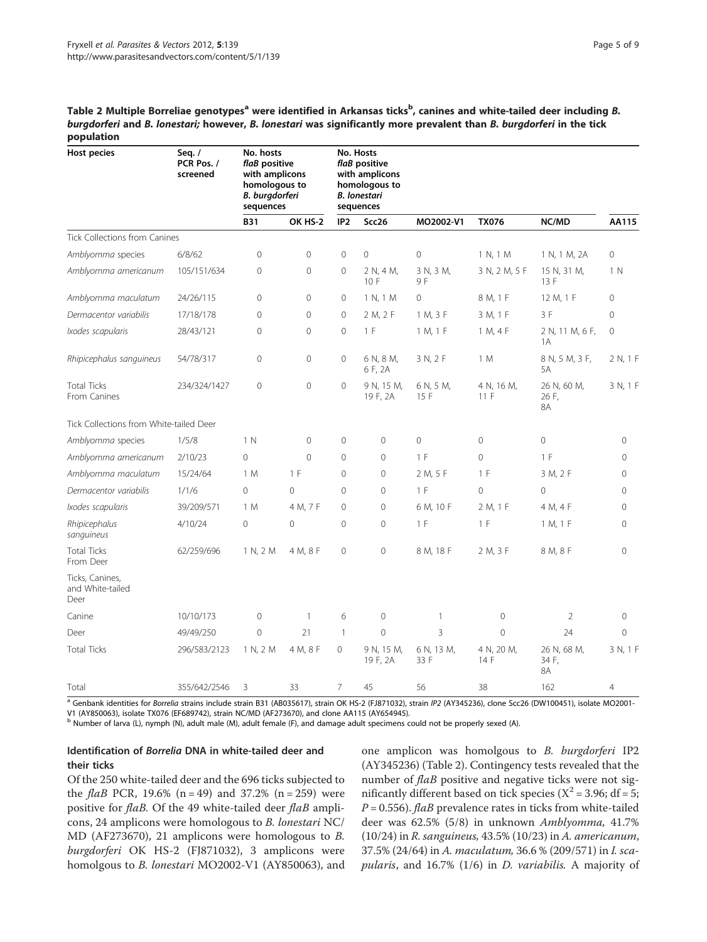<span id="page-6-0"></span>Table 2 Multiple Borreliae genotypes<sup>a</sup> were identified in Arkansas ticks<sup>b</sup>, canines and white-tailed deer including *B*. burgdorferi and B. lonestari; however, B. lonestari was significantly more prevalent than B. burgdorferi in the tick population

| <b>Host pecies</b>                          | Seq. $/$<br>PCR Pos. /<br>screened | No. hosts<br>flaB positive<br>with amplicons<br>homologous to<br>B. burgdorferi<br>sequences |                | No. Hosts<br>flaB positive<br>with amplicons<br>homologous to<br><b>B.</b> lonestari<br>sequences |                        |                    |                    |                            |                |
|---------------------------------------------|------------------------------------|----------------------------------------------------------------------------------------------|----------------|---------------------------------------------------------------------------------------------------|------------------------|--------------------|--------------------|----------------------------|----------------|
|                                             |                                    | <b>B31</b>                                                                                   | OK HS-2        | IP <sub>2</sub>                                                                                   | Scc26                  | MO2002-V1          | <b>TX076</b>       | NC/MD                      | AA115          |
| Tick Collections from Canines               |                                    |                                                                                              |                |                                                                                                   |                        |                    |                    |                            |                |
| Amblyomma species                           | 6/8/62                             | $\mathbf{0}$                                                                                 | $\overline{0}$ | $\overline{0}$                                                                                    | $\overline{0}$         | $\overline{0}$     | 1 N, 1 M           | 1 N, 1 M, 2A               | $\circ$        |
| Amblyomma americanum                        | 105/151/634                        | $\mathbf{0}$                                                                                 | $\overline{0}$ | 0                                                                                                 | 2 N, 4 M,<br>10 F      | 3 N, 3 M,<br>9F    | 3 N, 2 M, 5 F      | 15 N, 31 M,<br>13 F        | 1 N            |
| Amblyomma maculatum                         | 24/26/115                          | $\mathbf{0}$                                                                                 | $\mathbf 0$    | 0                                                                                                 | 1 N, 1 M               | $\mathbf 0$        | 8 M, 1 F           | 12 M, 1 F                  | 0              |
| Dermacentor variabilis                      | 17/18/178                          | $\overline{0}$                                                                               | $\overline{0}$ | $\mathbf 0$                                                                                       | 2 M, 2 F               | 1 M, 3 F           | 3 M, 1 F           | 3F                         | 0              |
| Ixodes scapularis                           | 28/43/121                          | $\overline{0}$                                                                               | $\Omega$       | $\overline{0}$                                                                                    | 1 F                    | 1 M, 1 F           | 1 M, 4 F           | 2 N, 11 M, 6 F,<br>1A      | $\overline{0}$ |
| Rhipicephalus sanguineus                    | 54/78/317                          | $\mathbf{0}$                                                                                 | $\mathbf 0$    | $\mathbf{0}$                                                                                      | 6 N, 8 M,<br>6 F, 2A   | 3 N, 2 F           | 1 M                | 8 N, 5 M, 3 F,<br>5A       | 2 N, 1 F       |
| <b>Total Ticks</b><br>From Canines          | 234/324/1427                       | $\mathbf 0$                                                                                  | $\overline{0}$ | 0                                                                                                 | 9 N, 15 M,<br>19 F, 2A | 6 N, 5 M,<br>15 F  | 4 N, 16 M,<br>11F  | 26 N, 60 M,<br>26 F,<br>8A | 3 N, 1 F       |
| Tick Collections from White-tailed Deer     |                                    |                                                                                              |                |                                                                                                   |                        |                    |                    |                            |                |
| Amblyomma species                           | 1/5/8                              | 1 N                                                                                          | $\mathbf 0$    | 0                                                                                                 | $\mathsf{O}\xspace$    | $\mathbf 0$        | 0                  | $\mathbf 0$                | $\mathbf 0$    |
| Amblyomma americanum                        | 2/10/23                            | $\overline{0}$                                                                               | $\overline{0}$ | $\overline{0}$                                                                                    | $\overline{0}$         | 1 F                | $\overline{0}$     | 1 F                        | $\Omega$       |
| Amblyomma maculatum                         | 15/24/64                           | 1 M                                                                                          | 1 F            | 0                                                                                                 | $\circ$                | 2 M, 5 F           | 1 F                | 3 M, 2 F                   | $\Omega$       |
| Dermacentor variabilis                      | 1/1/6                              | $\overline{0}$                                                                               | $\overline{0}$ | $\overline{0}$                                                                                    | $\overline{0}$         | 1 F                | $\overline{0}$     | $\overline{0}$             | $\mathbf 0$    |
| Ixodes scapularis                           | 39/209/571                         | 1 M                                                                                          | 4 M, 7 F       | 0                                                                                                 | $\Omega$               | 6 M, 10 F          | 2 M, 1 F           | 4 M, 4 F                   | $\Omega$       |
| Rhipicephalus<br>sanguineus                 | 4/10/24                            | $\overline{0}$                                                                               | $\mathbf 0$    | $\mathbf 0$                                                                                       | 0                      | 1 F                | 1 F                | 1 M, 1 F                   | $\mathbf 0$    |
| <b>Total Ticks</b><br>From Deer             | 62/259/696                         | 1 N, 2 M                                                                                     | 4 M, 8 F       | 0                                                                                                 | $\overline{0}$         | 8 M, 18 F          | 2 M, 3 F           | 8 M, 8 F                   | $\mathbf 0$    |
| Ticks, Canines,<br>and White-tailed<br>Deer |                                    |                                                                                              |                |                                                                                                   |                        |                    |                    |                            |                |
| Canine                                      | 10/10/173                          | $\mathbf 0$                                                                                  | $\mathbf{1}$   | 6                                                                                                 | $\mathbf 0$            | $\mathbf{1}$       | $\overline{0}$     | $\overline{2}$             | $\mathbf 0$    |
| Deer                                        | 49/49/250                          | $\mathbf 0$                                                                                  | 21             | $\mathbf{1}$                                                                                      | $\overline{0}$         | 3                  | $\overline{0}$     | 24                         | $\mathbf 0$    |
| <b>Total Ticks</b>                          | 296/583/2123                       | 1 N, 2 M                                                                                     | 4 M, 8 F       | $\circ$                                                                                           | 9 N, 15 M,<br>19 F, 2A | 6 N, 13 M,<br>33 F | 4 N, 20 M,<br>14 F | 26 N, 68 M,<br>34 F,<br>8A | 3 N, 1 F       |
| Total                                       | 355/642/2546                       | 3                                                                                            | 33             | $\overline{7}$                                                                                    | 45                     | 56                 | 38                 | 162                        | 4              |

<sup>a</sup> Genbank identities for Borrelia strains include strain B31 (AB035617), strain OK HS-2 (FJ871032), strain IP2 (AY345236), clone Scc26 (DW100451), isolate MO2001-V1 (AY850063), isolate TX076 (EF689742), strain NC/MD (AF273670), and clone AA115 (AY654945).

<sup>b</sup> Number of larva (L), nymph (N), adult male (M), adult female (F), and damage adult specimens could not be properly sexed (A).

#### Identification of Borrelia DNA in white-tailed deer and their ticks

Of the 250 white-tailed deer and the 696 ticks subjected to the *flaB* PCR, 19.6% (n = 49) and 37.2% (n = 259) were positive for flaB. Of the 49 white-tailed deer flaB amplicons, 24 amplicons were homologous to B. lonestari NC/ MD (AF273670), 21 amplicons were homologous to B. burgdorferi OK HS-2 (FJ871032), 3 amplicons were homolgous to B. lonestari MO2002-V1 (AY850063), and one amplicon was homolgous to B. burgdorferi IP2 (AY345236) (Table 2). Contingency tests revealed that the number of flaB positive and negative ticks were not significantly different based on tick species ( $X^2$  = 3.96; df = 5;  $P = 0.556$ . flaB prevalence rates in ticks from white-tailed deer was 62.5% (5/8) in unknown Amblyomma, 41.7% (10/24) in R. sanguineus, 43.5% (10/23) in A. americanum, 37.5% (24/64) in A. maculatum, 36.6 % (209/571) in I. scapularis, and 16.7% (1/6) in D. variabilis. A majority of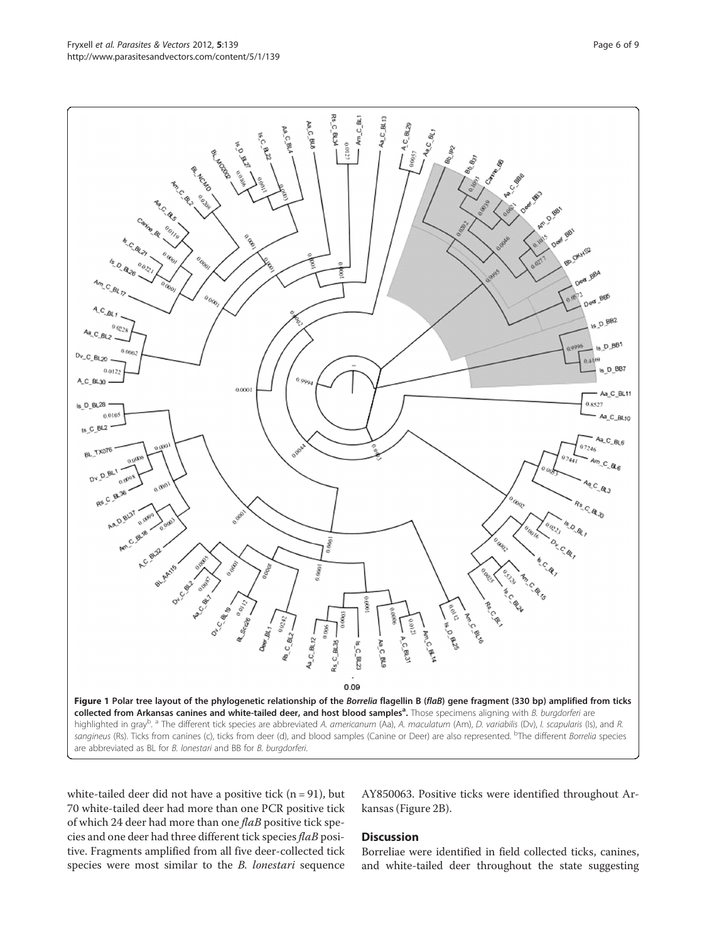<span id="page-7-0"></span>

white-tailed deer did not have a positive tick  $(n = 91)$ , but 70 white-tailed deer had more than one PCR positive tick of which 24 deer had more than one flaB positive tick species and one deer had three different tick species flaB positive. Fragments amplified from all five deer-collected tick species were most similar to the B. lonestari sequence

AY850063. Positive ticks were identified throughout Arkansas (Figure [2B](#page-8-0)).

#### **Discussion**

Borreliae were identified in field collected ticks, canines, and white-tailed deer throughout the state suggesting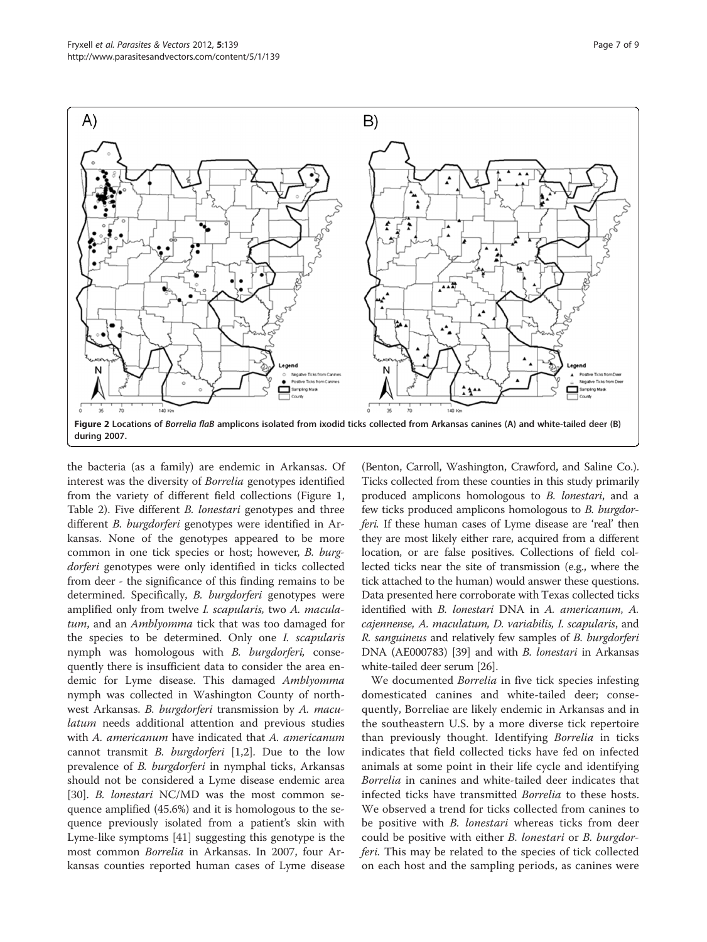<span id="page-8-0"></span>

the bacteria (as a family) are endemic in Arkansas. Of interest was the diversity of Borrelia genotypes identified from the variety of different field collections (Figure [1](#page-7-0), Table [2](#page-6-0)). Five different B. lonestari genotypes and three different B. burgdorferi genotypes were identified in Arkansas. None of the genotypes appeared to be more common in one tick species or host; however, B. burgdorferi genotypes were only identified in ticks collected from deer - the significance of this finding remains to be determined. Specifically, B. burgdorferi genotypes were amplified only from twelve I. scapularis, two A. maculatum, and an *Amblyomma* tick that was too damaged for the species to be determined. Only one I. scapularis nymph was homologous with B. burgdorferi, consequently there is insufficient data to consider the area endemic for Lyme disease. This damaged Amblyomma nymph was collected in Washington County of northwest Arkansas. B. burgdorferi transmission by A. maculatum needs additional attention and previous studies with A. americanum have indicated that A. americanum cannot transmit *B. burgdorferi* [\[1,2\]](#page-9-0). Due to the low prevalence of *B. burgdorferi* in nymphal ticks, Arkansas should not be considered a Lyme disease endemic area [[30\]](#page-10-0). B. lonestari NC/MD was the most common sequence amplified (45.6%) and it is homologous to the sequence previously isolated from a patient's skin with Lyme-like symptoms [\[41](#page-10-0)] suggesting this genotype is the most common Borrelia in Arkansas. In 2007, four Arkansas counties reported human cases of Lyme disease

(Benton, Carroll, Washington, Crawford, and Saline Co.). Ticks collected from these counties in this study primarily produced amplicons homologous to B. lonestari, and a few ticks produced amplicons homologous to B. burgdorferi. If these human cases of Lyme disease are 'real' then they are most likely either rare, acquired from a different location, or are false positives. Collections of field collected ticks near the site of transmission (e.g., where the tick attached to the human) would answer these questions. Data presented here corroborate with Texas collected ticks identified with B. lonestari DNA in A. americanum, A. cajennense, A. maculatum, D. variabilis, I. scapularis, and R. sanguineus and relatively few samples of B. burgdorferi DNA (AE000783) [\[39\]](#page-10-0) and with *B. lonestari* in Arkansas white-tailed deer serum [[26\]](#page-10-0).

We documented Borrelia in five tick species infesting domesticated canines and white-tailed deer; consequently, Borreliae are likely endemic in Arkansas and in the southeastern U.S. by a more diverse tick repertoire than previously thought. Identifying Borrelia in ticks indicates that field collected ticks have fed on infected animals at some point in their life cycle and identifying Borrelia in canines and white-tailed deer indicates that infected ticks have transmitted Borrelia to these hosts. We observed a trend for ticks collected from canines to be positive with *B. lonestari* whereas ticks from deer could be positive with either B. lonestari or B. burgdorferi. This may be related to the species of tick collected on each host and the sampling periods, as canines were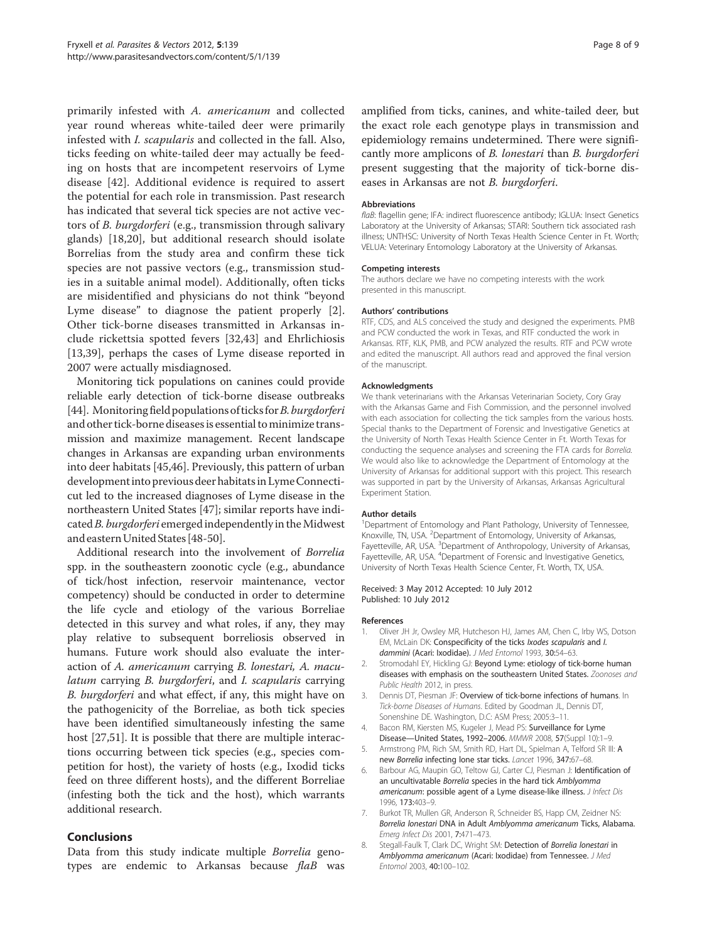<span id="page-9-0"></span>primarily infested with A. americanum and collected year round whereas white-tailed deer were primarily infested with I. scapularis and collected in the fall. Also, ticks feeding on white-tailed deer may actually be feeding on hosts that are incompetent reservoirs of Lyme disease [[42\]](#page-10-0). Additional evidence is required to assert the potential for each role in transmission. Past research has indicated that several tick species are not active vectors of B. burgdorferi (e.g., transmission through salivary glands) [[18,20\]](#page-10-0), but additional research should isolate Borrelias from the study area and confirm these tick species are not passive vectors (e.g., transmission studies in a suitable animal model). Additionally, often ticks are misidentified and physicians do not think "beyond Lyme disease" to diagnose the patient properly [2]. Other tick-borne diseases transmitted in Arkansas include rickettsia spotted fevers [[32,43](#page-10-0)] and Ehrlichiosis [[13,39](#page-10-0)], perhaps the cases of Lyme disease reported in 2007 were actually misdiagnosed.

Monitoring tick populations on canines could provide reliable early detection of tick-borne disease outbreaks [[44\]](#page-10-0). Monitoring field populations of ticks for *B. burgdorferi* and other tick-borne diseases is essential to minimize transmission and maximize management. Recent landscape changes in Arkansas are expanding urban environments into deer habitats [\[45,46](#page-10-0)]. Previously, this pattern of urban developmentinto previous deer habitatsin LymeConnecticut led to the increased diagnoses of Lyme disease in the northeastern United States [\[47\]](#page-10-0); similar reports have indicated  $B.$  burgdorferi emerged independently in the Midwest and eastern United States [\[48](#page-10-0)-[50\]](#page-10-0).

Additional research into the involvement of Borrelia spp. in the southeastern zoonotic cycle (e.g., abundance of tick/host infection, reservoir maintenance, vector competency) should be conducted in order to determine the life cycle and etiology of the various Borreliae detected in this survey and what roles, if any, they may play relative to subsequent borreliosis observed in humans. Future work should also evaluate the interaction of A. americanum carrying B. lonestari, A. maculatum carrying B. burgdorferi, and I. scapularis carrying B. burgdorferi and what effect, if any, this might have on the pathogenicity of the Borreliae, as both tick species have been identified simultaneously infesting the same host [\[27,51\]](#page-10-0). It is possible that there are multiple interactions occurring between tick species (e.g., species competition for host), the variety of hosts (e.g., Ixodid ticks feed on three different hosts), and the different Borreliae (infesting both the tick and the host), which warrants additional research.

#### Conclusions

Data from this study indicate multiple Borrelia genotypes are endemic to Arkansas because  $flaB$  was amplified from ticks, canines, and white-tailed deer, but the exact role each genotype plays in transmission and epidemiology remains undetermined. There were significantly more amplicons of B. lonestari than B. burgdorferi present suggesting that the majority of tick-borne diseases in Arkansas are not B. burgdorferi.

#### Abbreviations

flaB: flagellin gene; IFA: indirect fluorescence antibody; IGLUA: Insect Genetics Laboratory at the University of Arkansas; STARI: Southern tick associated rash illness; UNTHSC: University of North Texas Health Science Center in Ft. Worth; VELUA: Veterinary Entomology Laboratory at the University of Arkansas.

#### Competing interests

The authors declare we have no competing interests with the work presented in this manuscript.

#### Authors' contributions

RTF, CDS, and ALS conceived the study and designed the experiments. PMB and PCW conducted the work in Texas, and RTF conducted the work in Arkansas. RTF, KLK, PMB, and PCW analyzed the results. RTF and PCW wrote and edited the manuscript. All authors read and approved the final version of the manuscript.

#### Acknowledgments

We thank veterinarians with the Arkansas Veterinarian Society, Cory Gray with the Arkansas Game and Fish Commission, and the personnel involved with each association for collecting the tick samples from the various hosts. Special thanks to the Department of Forensic and Investigative Genetics at the University of North Texas Health Science Center in Ft. Worth Texas for conducting the sequence analyses and screening the FTA cards for Borrelia. We would also like to acknowledge the Department of Entomology at the University of Arkansas for additional support with this project. This research was supported in part by the University of Arkansas, Arkansas Agricultural Experiment Station.

#### Author details

<sup>1</sup>Department of Entomology and Plant Pathology, University of Tennessee Knoxville, TN, USA. <sup>2</sup> Department of Entomology, University of Arkansas, Fayetteville, AR, USA. <sup>3</sup>Department of Anthropology, University of Arkansas, Fayetteville, AR, USA. <sup>4</sup>Department of Forensic and Investigative Genetics, University of North Texas Health Science Center, Ft. Worth, TX, USA.

Received: 3 May 2012 Accepted: 10 July 2012 Published: 10 July 2012

#### References

- 1. Oliver JH Jr, Owsley MR, Hutcheson HJ, James AM, Chen C, Irby WS, Dotson EM, McLain DK: Conspecificity of the ticks Ixodes scapularis and I. dammini (Acari: Ixodidae). J Med Entomol 1993, 30:54-63.
- 2. Stromodahl EY, Hickling GJ: Beyond Lyme: etiology of tick-borne human diseases with emphasis on the southeastern United States. Zoonoses and Public Health 2012, in press.
- Dennis DT, Piesman JF: Overview of tick-borne infections of humans. In Tick-borne Diseases of Humans. Edited by Goodman JL, Dennis DT, Sonenshine DE. Washington, D.C: ASM Press; 2005:3–11.
- 4. Bacon RM, Kiersten MS, Kugeler J, Mead PS: Surveillance for Lyme Disease—United States, 1992–2006. MMWR 2008, 57(Suppl 10):1–9.
- 5. Armstrong PM, Rich SM, Smith RD, Hart DL, Spielman A, Telford SR III: A new Borrelia infecting lone star ticks. Lancet 1996, 347:67–68.
- 6. Barbour AG, Maupin GO, Teltow GJ, Carter CJ, Piesman J: Identification of an uncultivatable Borrelia species in the hard tick Amblyomma americanum: possible agent of a Lyme disease-like illness. J Infect Dis 1996, 173:403–9.
- 7. Burkot TR, Mullen GR, Anderson R, Schneider BS, Happ CM, Zeidner NS: Borrelia lonestari DNA in Adult Amblyomma americanum Ticks, Alabama. Emerg Infect Dis 2001, 7:471–473.
- 8. Stegall-Faulk T, Clark DC, Wright SM: Detection of Borrelia lonestari in Amblyomma americanum (Acari: Ixodidae) from Tennessee. J Med Entomol 2003, 40:100–102.